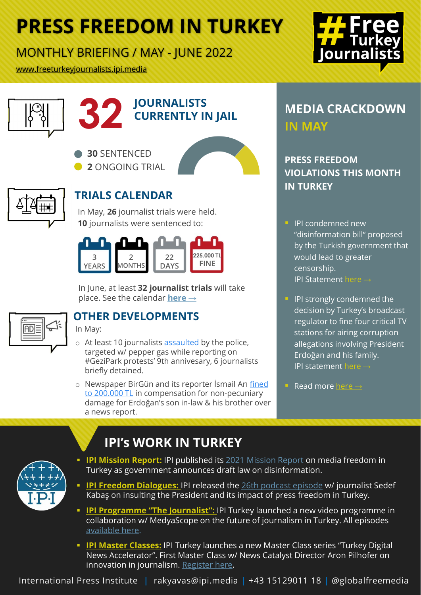# **PRESS FREEDOM IN TURKEY**

### MONTHLY BRIEFING / MAY - JUNE 2022

[www.freeturkeyjournalists.ipi.media](https://freeturkeyjournalists.ipi.media/)







**30** SENTENCED **2** ONGOING TRIAL





### **TRIALS CALENDAR**

In May, **26** journalist trials were held. **10** journalists were sentenced to:



In June, at least **32 journalist trials** will take place. See the calendar **[here](https://freeturkeyjournalists.ipi.media/trials-calendar/) →**



### **OTHER DEVELOPMENTS**

In May:

- o At least 10 journalists [assaulted](https://m.bianet.org/bianet/ifade-ozgurlugu/262688-gezi-anmasinda-gazetecilere-darp-ve-gozalti-vardi) by the police, targeted w/ pepper gas while reporting on #GeziPark protests' 9th annivesary, 6 journalists briefly detained.
- o [Newspaper BirGün and its reporter İsmail Arı](https://www.birgun.net/haber/damat-istedi-yargi-onayladi-birgun-aleyhine-200-bin-tl-tazminat-388247) fined to 200.000 TL in compensation for non-pecuniary damage for Erdoğan's son in-law & his brother over a news report.

## **32** *MEDIA CRACKDOWN*<br> **S22** *CURRENTLY IN JAIL***<br>
IN MAY IN MAY**

### **PRESS FREEDOM VIOLATIONS THIS MONTH IN TURKEY**

- **IPI condemned new** "disinformation bill" proposed by the Turkish government that would lead to greater censorship. IPI Statement [here](https://freeturkeyjournalists.ipi.media/turkey-leading-local-journalism-organizations-call-for-withdrawal-of-disinformation-law/) →
- **IPI strongly condemned the** decision by Turkey's broadcast regulator to fine four critical TV stations for airing corruption allegations involving President Erdoğan and his family. IPI statement [here](https://freeturkeyjournalists.ipi.media/turkey-broadcast-regulator-fines-four-critical-tv-stations/)  $\rightarrow$
- **Read more [here](https://freeturkeyjournalists.ipi.media/)**  $\rightarrow$



### **IPI's WORK IN TURKEY**

- **IPI Mission Report:** IPI published its [2021 Mission](https://ipi.media/wp-content/uploads/2022/05/PFMissionReport_TURKEY_2021_22_FINAL.pdf) Report on media freedom in Turkey as government announces draft law on disinformation.
- **IPI Freedom Dialogues:** IPI released the [26th podcast episode](https://freeturkeyjournalists.ipi.media/tr/ipi-ozgur-sohbetler-turkiyede-cumhurbaskanina-hakaret-sucu-ve-basin-ozgurlugu/) w/ journalist Sedef Kabaş on insulting the President and its impact of press freedom in Turkey.
- **IPI Programme ["The Journalist":](https://freeturkeyjournalists.ipi.media/the-journalist-ipi-turkey-launches-new-video-series-with-medyascope/)** IPI Turkey launched a new video programme in collaboration w/ MedyaScope on the future of journalism in Turkey. All episodes [available here.](https://www.youtube.com/watch?v=_u13GQHQpCs&feature=youtu.be)
- **[IPI Master](https://freeturkeyjournalists.ipi.media/turkey-online-master-class-innovation-in-journalism-june-6-2022/) Classes:** IPI Turkey launches a new Master Class series "Turkey Digital News Accelerator". First Master Class w/ News Catalyst Director Aron Pilhofer on innovation in journalism. [Register here.](https://us06web.zoom.us/meeting/register/tZIkfuqorDgqEtecACLW1_VKP5xTBFDEphNJ)

International Press Institute **|** rakyavas@ipi.media **|** +43 15129011 18 **|** @globalfreemedia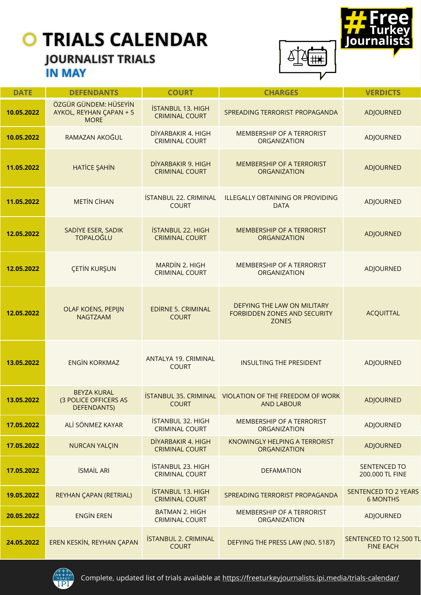### **JOURNALIST TRIALS IN MAY**



| <b>DATE</b> | <b>DEFENDANTS</b>                                                 | <b>COURT</b>                                      | <b>CHARGES</b>                                                                     | <b>VERDICTS</b>                                |
|-------------|-------------------------------------------------------------------|---------------------------------------------------|------------------------------------------------------------------------------------|------------------------------------------------|
| 10.05.2022  | ÖZGÜR GÜNDEM: HÜSEYİN<br>AYKOL, REYHAN ÇAPAN + 5<br><b>MORE</b>   | <b>İSTANBUL 13. HIGH</b><br><b>CRIMINAL COURT</b> | SPREADING TERRORIST PROPAGANDA                                                     | <b>ADJOURNED</b>                               |
| 10.05.2022  | RAMAZAN AKOĞUL                                                    | DİYARBAKIR 4. HIGH<br><b>CRIMINAL COURT</b>       | MEMBERSHIP OF A TERRORIST<br>ORGANIZATION                                          | <b>ADJOURNED</b>                               |
| 11.05.2022  | <b>HATICE ŞAHİN</b>                                               | DİYARBAKIR 9. HIGH<br><b>CRIMINAL COURT</b>       | <b>MEMBERSHIP OF A TERRORIST</b><br><b>ORGANIZATION</b>                            | <b>ADJOURNED</b>                               |
| 11.05.2022  | <b>METIN CIHAN</b>                                                | İSTANBUL 22. CRIMINAL<br><b>COURT</b>             | <b>ILLEGALLY OBTAINING OR PROVIDING</b><br><b>DATA</b>                             | <b>ADJOURNED</b>                               |
| 12.05.2022  | SADİYE ESER, SADIK<br><b>TOPALOĞLU</b>                            | <b>İSTANBUL 22. HIGH</b><br><b>CRIMINAL COURT</b> | <b>MEMBERSHIP OF A TERRORIST</b><br><b>ORGANIZATION</b>                            | <b>ADJOURNED</b>                               |
| 12.05.2022  | <b>CETIN KURŞUN</b>                                               | MARDİN 2. HIGH<br><b>CRIMINAL COURT</b>           | MEMBERSHIP OF A TERRORIST<br>ORGANIZATION                                          | ADJOURNED                                      |
| 12.05.2022  | <b>OLAF KOENS, PEPIJN</b><br><b>NAGTZAAM</b>                      | <b>EDİRNE 5. CRIMINAL</b><br><b>COURT</b>         | DEFYING THE LAW ON MILITARY<br><b>FORBIDDEN ZONES AND SECURITY</b><br><b>ZONES</b> | <b>ACQUITTAL</b>                               |
| 13.05.2022  | <b>ENGİN KORKMAZ</b>                                              | ANTALYA 19. CRIMINAL<br><b>COURT</b>              | <b>INSULTING THE PRESIDENT</b>                                                     | <b>ADJOURNED</b>                               |
| 13.05.2022  | <b>BEYZA KURAL</b><br>(3 POLICE OFFICERS AS<br><b>DEFENDANTS)</b> | <b>COURT</b>                                      | <b>İSTANBUL 35. CRIMINAL VIOLATION OF THE FREEDOM OF WORK</b><br><b>AND LABOUR</b> | <b>ADJOURNED</b>                               |
| 17.05.2022  | ALİ SÖNMEZ KAYAR                                                  | <b>İSTANBUL 32. HIGH</b><br><b>CRIMINAL COURT</b> | MEMBERSHIP OF A TERRORIST<br>ORGANIZATION                                          | ADJOURNED                                      |
| 17.05.2022  | <b>NURCAN YALÇIN</b>                                              | DİYARBAKIR 4. HIGH<br><b>CRIMINAL COURT</b>       | <b>KNOWINGLY HELPING A TERRORIST</b><br><b>ORGANIZATION</b>                        | <b>ADJOURNED</b>                               |
| 17.05.2022  | <b>İSMAİL ARI</b>                                                 | İSTANBUL 23. HIGH<br><b>CRIMINAL COURT</b>        | <b>DEFAMATION</b>                                                                  | <b>SENTENCED TO</b><br>200.000 TL FINE         |
| 19.05.2022  | REYHAN ÇAPAN (RETRIAL)                                            | <b>İSTANBUL 13. HIGH</b><br><b>CRIMINAL COURT</b> | SPREADING TERRORIST PROPAGANDA                                                     | <b>SENTENCED TO 2 YEARS</b><br><b>6 MONTHS</b> |
| 20.05.2022  | <b>ENGIN EREN</b>                                                 | <b>BATMAN 2. HIGH</b><br><b>CRIMINAL COURT</b>    | MEMBERSHIP OF A TERRORIST<br>ORGANIZATION                                          | ADJOURNED                                      |
| 24.05.2022  | EREN KESKİN, REYHAN ÇAPAN                                         | <b>İSTANBUL 2. CRIMINAL</b><br><b>COURT</b>       | DEFYING THE PRESS LAW (NO. 5187)                                                   | SENTENCED TO 12.500 TL<br><b>FINE EACH</b>     |



Complete, updated list of trials available at <https://freeturkeyjournalists.ipi.media/trials-calendar/>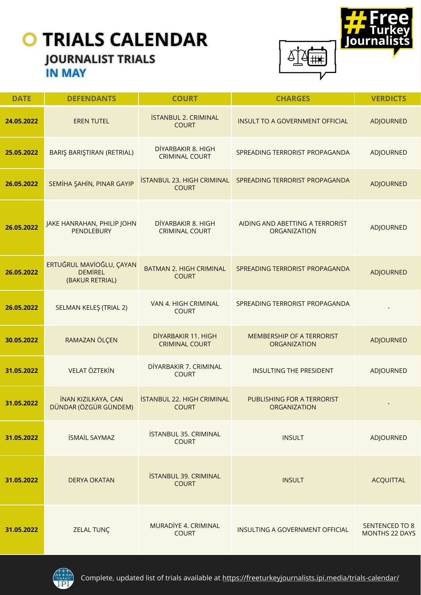### **JOURNALIST TRIALS IN MAY**



| <b>DATE</b> | <b>DEFENDANTS</b>                                             | <b>COURT</b>                                      | <b>CHARGES</b>                                    | <b>VERDICTS</b>                                |
|-------------|---------------------------------------------------------------|---------------------------------------------------|---------------------------------------------------|------------------------------------------------|
| 24.05.2022  | <b>EREN TUTEL</b>                                             | <b>İSTANBUL 2. CRIMINAL</b><br><b>COURT</b>       | INSULT TO A GOVERNMENT OFFICIAL                   | <b>ADJOURNED</b>                               |
| 25.05.2022  | BARIŞ BARIŞTIRAN (RETRIAL)                                    | DİYARBAKIR 8. HIGH<br><b>CRIMINAL COURT</b>       | SPREADING TERRORIST PROPAGANDA                    | ADJOURNED                                      |
| 26.05.2022  | SEMİHA ŞAHİN, PINAR GAYIP                                     | <b>İSTANBUL 23. HIGH CRIMINAL</b><br><b>COURT</b> | SPREADING TERRORIST PROPAGANDA                    | <b>ADJOURNED</b>                               |
| 26.05.2022  | JAKE HANRAHAN, PHILIP JOHN<br><b>PENDLEBURY</b>               | DİYARBAKIR 8. HIGH<br><b>CRIMINAL COURT</b>       | AIDING AND ABETTING A TERRORIST<br>ORGANIZATION   | ADJOURNED                                      |
| 26.05.2022  | ERTUĞRUL MAVİOĞLU, ÇAYAN<br><b>DEMIREL</b><br>(BAKUR RETRIAL) | <b>BATMAN 2. HIGH CRIMINAL</b><br><b>COURT</b>    | SPREADING TERRORIST PROPAGANDA                    | <b>ADJOURNED</b>                               |
| 26.05.2022  | SELMAN KELEŞ (TRIAL 2)                                        | VAN 4. HIGH CRIMINAL<br><b>COURT</b>              | SPREADING TERRORIST PROPAGANDA                    |                                                |
| 30.05.2022  | RAMAZAN ÖLÇEN                                                 | DİYARBAKIR 11. HIGH<br><b>CRIMINAL COURT</b>      | MEMBERSHIP OF A TERRORIST<br><b>ORGANIZATION</b>  | <b>ADJOURNED</b>                               |
| 31.05.2022  | <b>VELAT ÖZTEKİN</b>                                          | DİYARBAKIR 7. CRIMINAL<br><b>COURT</b>            | <b>INSULTING THE PRESIDENT</b>                    | ADJOURNED                                      |
| 31.05.2022  | <b>İNAN KIZILKAYA, CAN</b><br>DÜNDAR (ÖZGÜR GÜNDEM)           | <b>İSTANBUL 22. HIGH CRIMINAL</b><br><b>COURT</b> | PUBLISHING FOR A TERRORIST<br><b>ORGANIZATION</b> |                                                |
| 31.05.2022  | <b>İSMAİL SAYMAZ</b>                                          | <b>İSTANBUL 35. CRIMINAL</b><br><b>COURT</b>      | <b>INSULT</b>                                     | ADJOURNED                                      |
| 31.05.2022  | <b>DERYA OKATAN</b>                                           | <b>İSTANBUL 39. CRIMINAL</b><br><b>COURT</b>      | <b>INSULT</b>                                     | <b>ACQUITTAL</b>                               |
| 31.05.2022  | <b>ZELAL TUNÇ</b>                                             | MURADİYE 4. CRIMINAL<br><b>COURT</b>              | INSULTING A GOVERNMENT OFFICIAL                   | <b>SENTENCED TO 8</b><br><b>MONTHS 22 DAYS</b> |

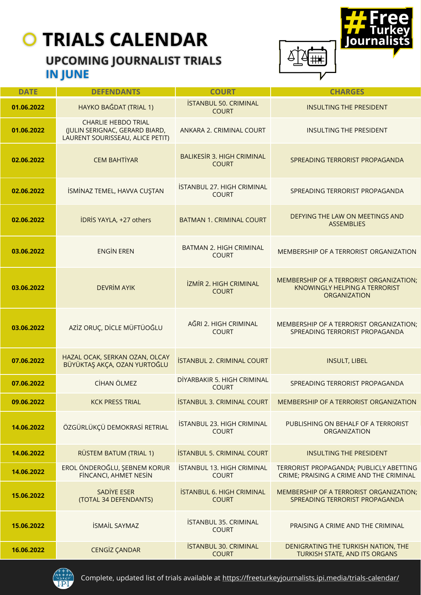### **UPCOMING JOURNALIST TRIALS IN JUNE**



| <b>DATE</b> | <b>DEFENDANTS</b>                                                                                | <b>COURT</b>                                      | <b>CHARGES</b>                                                                                         |
|-------------|--------------------------------------------------------------------------------------------------|---------------------------------------------------|--------------------------------------------------------------------------------------------------------|
| 01.06.2022  | HAYKO BAĞDAT (TRIAL 1)                                                                           | <b>İSTANBUL 50. CRIMINAL</b><br><b>COURT</b>      | <b>INSULTING THE PRESIDENT</b>                                                                         |
| 01.06.2022  | <b>CHARLIE HEBDO TRIAL</b><br>(JULIN SERIGNAC, GERARD BIARD,<br>LAURENT SOURISSEAU, ALICE PETIT) | ANKARA 2. CRIMINAL COURT                          | <b>INSULTING THE PRESIDENT</b>                                                                         |
| 02.06.2022  | <b>CEM BAHTİYAR</b>                                                                              | <b>BALIKESIR 3. HIGH CRIMINAL</b><br><b>COURT</b> | SPREADING TERRORIST PROPAGANDA                                                                         |
| 02.06.2022  | İSMİNAZ TEMEL, HAVVA CUŞTAN                                                                      | ISTANBUL 27. HIGH CRIMINAL<br><b>COURT</b>        | SPREADING TERRORIST PROPAGANDA                                                                         |
| 02.06.2022  | <b>IDRIS YAYLA, +27 others</b>                                                                   | <b>BATMAN 1. CRIMINAL COURT</b>                   | DEFYING THE LAW ON MEETINGS AND<br><b>ASSEMBLIES</b>                                                   |
| 03.06.2022  | <b>ENGIN EREN</b>                                                                                | <b>BATMAN 2. HIGH CRIMINAL</b><br><b>COURT</b>    | MEMBERSHIP OF A TERRORIST ORGANIZATION                                                                 |
| 03.06.2022  | <b>DEVRİM AYIK</b>                                                                               | <b>İZMİR 2. HIGH CRIMINAL</b><br><b>COURT</b>     | MEMBERSHIP OF A TERRORIST ORGANIZATION;<br><b>KNOWINGLY HELPING A TERRORIST</b><br><b>ORGANIZATION</b> |
| 03.06.2022  | AZİZ ORUÇ, DİCLE MÜFTÜOĞLU                                                                       | AĞRI 2. HIGH CRIMINAL<br><b>COURT</b>             | MEMBERSHIP OF A TERRORIST ORGANIZATION;<br>SPREADING TERRORIST PROPAGANDA                              |
| 07.06.2022  | HAZAL OCAK, SERKAN OZAN, OLCAY<br>BÜYÜKTAŞ AKÇA, OZAN YURTOĞLU                                   | <b>İSTANBUL 2. CRIMINAL COURT</b>                 | <b>INSULT, LIBEL</b>                                                                                   |
| 07.06.2022  | CİHAN ÖLMEZ                                                                                      | DİYARBAKIR 5. HIGH CRIMINAL<br><b>COURT</b>       | SPREADING TERRORIST PROPAGANDA                                                                         |
| 09.06.2022  | <b>KCK PRESS TRIAL</b>                                                                           | <b>İSTANBUL 3. CRIMINAL COURT</b>                 | MEMBERSHIP OF A TERRORIST ORGANIZATION                                                                 |
| 14.06.2022  | ÖZGÜRLÜKÇÜ DEMOKRASİ RETRIAL                                                                     | <b>İSTANBUL 23. HIGH CRIMINAL</b><br><b>COURT</b> | PUBLISHING ON BEHALF OF A TERRORIST<br>ORGANIZATION                                                    |
| 14.06.2022  | RÜSTEM BATUM (TRIAL 1)                                                                           | <b>ISTANBUL 5. CRIMINAL COURT</b>                 | <b>INSULTING THE PRESIDENT</b>                                                                         |
| 14.06.2022  | EROL ÖNDEROĞLU, ŞEBNEM KORUR<br><b>FINCANCI, AHMET NESIN</b>                                     | <b>ISTANBUL 13. HIGH CRIMINAL</b><br><b>COURT</b> | TERRORIST PROPAGANDA; PUBLICLY ABETTING<br>CRIME; PRAISING A CRIME AND THE CRIMINAL                    |
| 15.06.2022  | <b>SADİYE ESER</b><br>(TOTAL 34 DEFENDANTS)                                                      | <b>ISTANBUL 6. HIGH CRIMINAL</b><br><b>COURT</b>  | MEMBERSHIP OF A TERRORIST ORGANIZATION;<br>SPREADING TERRORIST PROPAGANDA                              |
| 15.06.2022  | <b>İSMAİL SAYMAZ</b>                                                                             | <b>İSTANBUL 35. CRIMINAL</b><br><b>COURT</b>      | PRAISING A CRIME AND THE CRIMINAL                                                                      |
| 16.06.2022  | <b>CENGİZ ÇANDAR</b>                                                                             | <b>İSTANBUL 30. CRIMINAL</b><br><b>COURT</b>      | DENIGRATING THE TURKISH NATION, THE<br>TURKISH STATE, AND ITS ORGANS                                   |



Complete, updated list of trials available at <https://freeturkeyjournalists.ipi.media/trials-calendar/>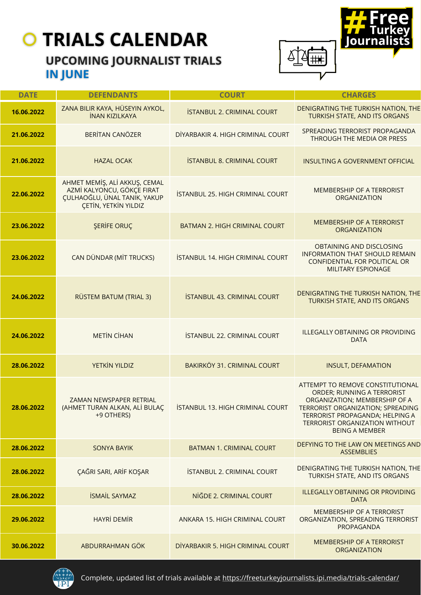### **UPCOMING JOURNALIST TRIALS IN JUNE**



| <b>DATE</b> | <b>DEFENDANTS</b>                                                                                                          | <b>COURT</b>                            | <b>CHARGES</b>                                                                                                                                                                                                                            |
|-------------|----------------------------------------------------------------------------------------------------------------------------|-----------------------------------------|-------------------------------------------------------------------------------------------------------------------------------------------------------------------------------------------------------------------------------------------|
| 16.06.2022  | ZANA BILIR KAYA, HÜSEYIN AYKOL,<br><b>İNAN KIZILKAYA</b>                                                                   | <b>İSTANBUL 2. CRIMINAL COURT</b>       | DENIGRATING THE TURKISH NATION, THE<br>TURKISH STATE, AND ITS ORGANS                                                                                                                                                                      |
| 21.06.2022  | <b>BERİTAN CANÖZER</b>                                                                                                     | DİYARBAKIR 4. HIGH CRIMINAL COURT       | SPREADING TERRORIST PROPAGANDA<br>THROUGH THE MEDIA OR PRESS                                                                                                                                                                              |
| 21.06.2022  | <b>HAZAL OCAK</b>                                                                                                          | <b>ISTANBUL 8. CRIMINAL COURT</b>       | <b>INSULTING A GOVERNMENT OFFICIAL</b>                                                                                                                                                                                                    |
| 22.06.2022  | AHMET MEMİŞ, ALİ AKKUŞ, CEMAL<br>AZMİ KALYONCU, GÖKÇE FIRAT<br>ÇULHAOĞLU, ÜNAL TANIK, YAKUP<br><b>CETIN, YETKIN YILDIZ</b> | <b>İSTANBUL 25. HIGH CRIMINAL COURT</b> | MEMBERSHIP OF A TERRORIST<br><b>ORGANIZATION</b>                                                                                                                                                                                          |
| 23.06.2022  | <b>ŞERİFE ORUÇ</b>                                                                                                         | <b>BATMAN 2. HIGH CRIMINAL COURT</b>    | <b>MEMBERSHIP OF A TERRORIST</b><br><b>ORGANIZATION</b>                                                                                                                                                                                   |
| 23.06.2022  | CAN DÜNDAR (MİT TRUCKS)                                                                                                    | ISTANBUL 14. HIGH CRIMINAL COURT        | OBTAINING AND DISCLOSING<br><b>INFORMATION THAT SHOULD REMAIN</b><br>CONFIDENTIAL FOR POLITICAL OR<br><b>MILITARY ESPIONAGE</b>                                                                                                           |
| 24.06.2022  | RÜSTEM BATUM (TRIAL 3)                                                                                                     | <b>İSTANBUL 43. CRIMINAL COURT</b>      | DENIGRATING THE TURKISH NATION, THE<br>TURKISH STATE, AND ITS ORGANS                                                                                                                                                                      |
| 24.06.2022  | <b>METIN CIHAN</b>                                                                                                         | <b>İSTANBUL 22. CRIMINAL COURT</b>      | <b>ILLEGALLY OBTAINING OR PROVIDING</b><br><b>DATA</b>                                                                                                                                                                                    |
| 28.06.2022  | YETKIN YILDIZ                                                                                                              | BAKIRKÖY 31. CRIMINAL COURT             | <b>INSULT, DEFAMATION</b>                                                                                                                                                                                                                 |
| 28.06.2022  | ZAMAN NEWSPAPER RETRIAL<br>(AHMET TURAN ALKAN, ALİ BULAÇ<br>+9 OTHERS)                                                     | ISTANBUL 13. HIGH CRIMINAL COURT        | ATTEMPT TO REMOVE CONSTITUTIONAL<br>ORDER; RUNNING A TERRORIST<br>ORGANIZATION; MEMBERSHIP OF A<br>TERRORIST ORGANIZATION; SPREADING<br>TERRORIST PROPAGANDA; HELPING A<br><b>TERRORIST ORGANIZATION WITHOUT</b><br><b>BEING A MEMBER</b> |
| 28.06.2022  | <b>SONYA BAYIK</b>                                                                                                         | <b>BATMAN 1. CRIMINAL COURT</b>         | DEFYING TO THE LAW ON MEETINGS AND<br><b>ASSEMBLIES</b>                                                                                                                                                                                   |
| 28.06.2022  | ÇAĞRI SARI, ARİF KOŞAR                                                                                                     | <b>İSTANBUL 2. CRIMINAL COURT</b>       | DENIGRATING THE TURKISH NATION, THE<br>TURKISH STATE, AND ITS ORGANS                                                                                                                                                                      |
| 28.06.2022  | <b>İSMAİL SAYMAZ</b>                                                                                                       | NİĞDE 2. CRIMINAL COURT                 | <b>ILLEGALLY OBTAINING OR PROVIDING</b><br><b>DATA</b>                                                                                                                                                                                    |
| 29.06.2022  | <b>HAYRİ DEMİR</b>                                                                                                         | ANKARA 15. HIGH CRIMINAL COURT          | MEMBERSHIP OF A TERRORIST<br>ORGANIZATION, SPREADING TERRORIST<br>PROPAGANDA                                                                                                                                                              |
| 30.06.2022  | ABDURRAHMAN GÖK                                                                                                            | DİYARBAKIR 5. HIGH CRIMINAL COURT       | <b>MEMBERSHIP OF A TERRORIST</b><br><b>ORGANIZATION</b>                                                                                                                                                                                   |